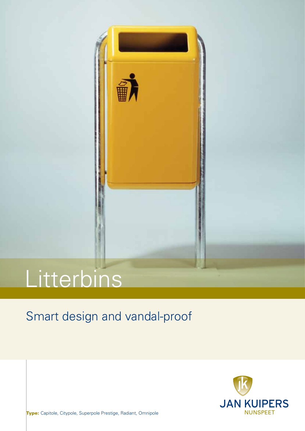

# **Litterbins**

## Smart design and vandal-proof



Type: Capitole, Citypole, Superpole Prestige, Radiant, Omnipole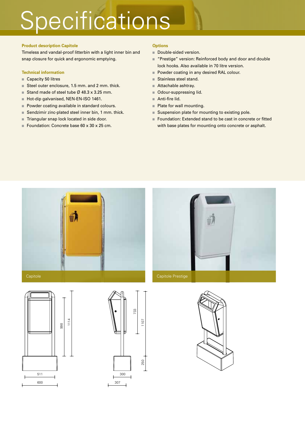# Specifications

### **Product description Capitole**

Timeless and vandal-proof litterbin with a light inner bin and snap closure for quick and ergonomic emptying.

### **Technical information**

- Capacity 50 litres
- Steel outer enclosure, 1.5 mm. and 2 mm. thick.
- Stand made of steel tube  $\emptyset$  48.3 x 3.25 mm.
- Hot-dip galvanised, NEN-EN-ISO 1461.
- Powder coating available in standard colours.
- Sendzimir zinc-plated steel inner bin, 1 mm. thick.
- Triangular snap lock located in side door.
- Foundation: Concrete base 60 x 30 x 25 cm.

### **Options**

- Double-sided version.
- "Prestige" version: Reinforced body and door and double lock hooks. Also available in 70 litre version.
- Powder coating in any desired RAL colour.
- Stainless steel stand.
- Attachable ashtray.
- Odour-suppressing lid.
- Anti-fire lid.
- Plate for wall mounting.
- Suspension plate for mounting to existing pole.
- Foundation: Extended stand to be cast in concrete or fitted with base plates for mounting onto concrete or asphalt.









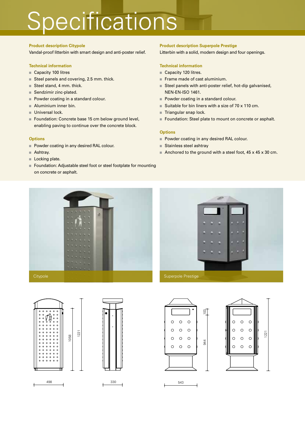# **Specifications**

#### **Product description Citypole**

Vandal-proof litterbin with smart design and anti-poster relief.

#### **Technical information**

- Capacity 100 litres
- Steel panels and covering, 2.5 mm. thick.
- Steel stand, 4 mm. thick.
- Sendzimir zinc-plated.
- Powder coating in a standard colour.
- $\blacksquare$  Aluminium inner bin.
- Universal lock.
- Foundation: Concrete base 15 cm below ground level, enabling paving to continue over the concrete block.

#### **Options**

- Powder coating in any desired RAL colour.
- Ashtray.
- Locking plate.
- Foundation: Adjustable steel foot or steel footplate for mounting on concrete or asphalt.

#### **Product description Superpole Prestige**

Litterbin with a solid, modern design and four openings.

### **Technical information**

- Capacity 120 litres.
- Frame made of cast aluminium.
- Steel panels with anti-poster relief, hot-dip galvanised, NEN-EN-ISO 1461.
- Powder coating in a standard colour.
- Suitable for bin liners with a size of  $70 \times 110$  cm.
- Triangular snap lock.
- Foundation: Steel plate to mount on concrete or asphalt.

#### **Options**

- Powder coating in any desired RAL colour.
- Stainless steel ashtray
- Anchored to the ground with a steel foot,  $45 \times 45 \times 30$  cm.